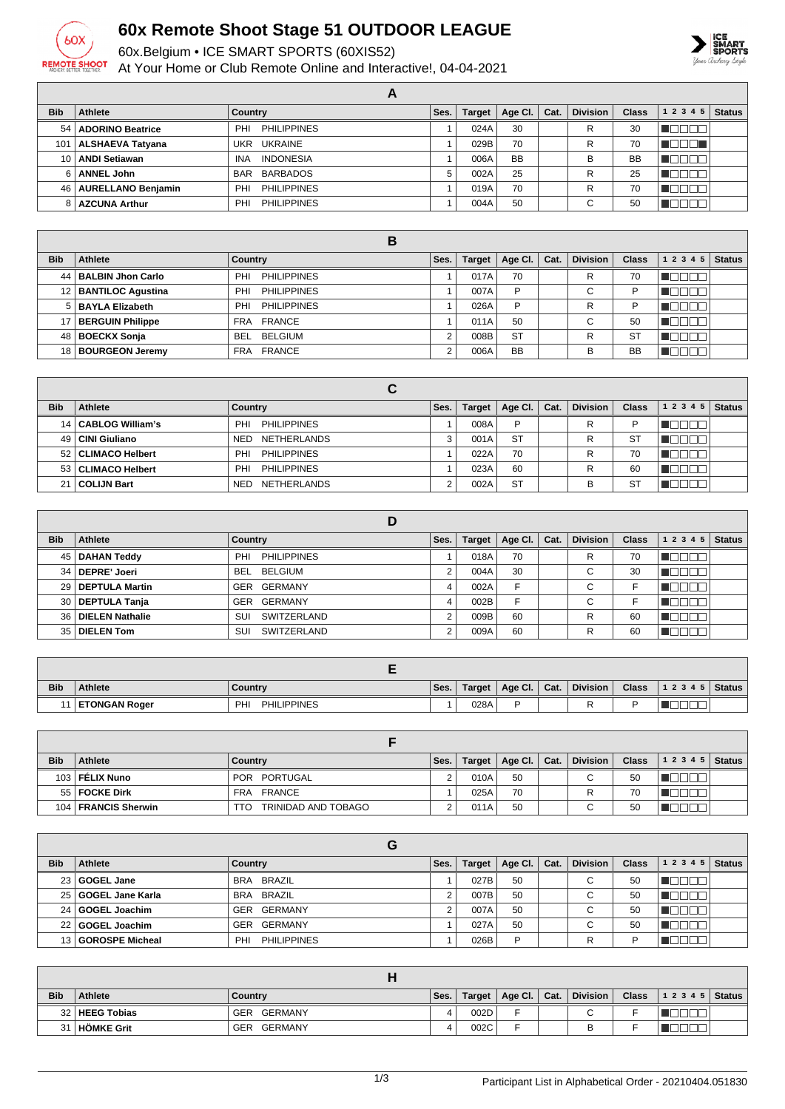

## **60x Remote Shoot Stage 51 OUTDOOR LEAGUE**

60x.Belgium • ICE SMART SPORTS (60XIS52)

At Your Home or Club Remote Online and Interactive!, 04-04-2021



|                  |                         | A                         |      |               |           |      |                 |              |           |               |
|------------------|-------------------------|---------------------------|------|---------------|-----------|------|-----------------|--------------|-----------|---------------|
| <b>Bib</b>       | Athlete                 | Country                   | Ses. | <b>Target</b> | Age Cl.   | Cat. | <b>Division</b> | <b>Class</b> | 1 2 3 4 5 | <b>Status</b> |
|                  | 54   ADORINO Beatrice   | <b>PHILIPPINES</b><br>PHI |      | 024A          | 30        |      | R               | 30           |           |               |
| 101 <sub>1</sub> | ALSHAEVA Tatyana        | <b>UKRAINE</b><br>UKR     |      | 029B          | 70        |      | R               | 70           | 70 L      |               |
| 10 <sup>1</sup>  | <b>ANDI Setiawan</b>    | <b>INDONESIA</b><br>INA   |      | 006A          | <b>BB</b> |      | В               | <b>BB</b>    |           |               |
| 61               | <b>ANNEL John</b>       | BARBADOS<br><b>BAR</b>    | 5    | 002A          | 25        |      | R               | 25           |           |               |
|                  | 46   AURELLANO Benjamin | <b>PHILIPPINES</b><br>PHI |      | 019A          | 70        |      | R               | 70           |           |               |
| 8                | <b>AZCUNA Arthur</b>    | <b>PHILIPPINES</b><br>PHI |      | 004A          | 50        |      | ⌒<br>U          | 50           |           |               |

|            |                        | в                           |      |               |                 |      |                 |              |           |               |
|------------|------------------------|-----------------------------|------|---------------|-----------------|------|-----------------|--------------|-----------|---------------|
| <b>Bib</b> | Athlete                | Country                     | Ses. | <b>Target</b> | Age Cl. $\vert$ | Cat. | <b>Division</b> | <b>Class</b> | 1 2 3 4 5 | <b>Status</b> |
|            | 44   BALBIN Jhon Carlo | PHILIPPINES<br>PHI          |      | 017A          | 70              |      | R               | 70           |           |               |
|            | 12   BANTILOC Agustina | <b>PHILIPPINES</b><br>PHI   |      | 007A          | P               |      | $\sim$<br>◡     | D            |           |               |
|            | 5   BAYLA Elizabeth    | <b>PHILIPPINES</b><br>PHI   |      | 026A          | P               |      | R               | D            |           |               |
|            | 17   BERGUIN Philippe  | FRA FRANCE                  |      | 011A          | 50              |      | $\sim$          | 50           |           |               |
|            | 48   BOECKX Sonja      | <b>BEL</b><br>BELGIUM       |      | 008B          | <b>ST</b>       |      | R               | <b>ST</b>    | ∎⊔⊔⊔      |               |
|            | 18   BOURGEON Jeremy   | <b>FRANCE</b><br><b>FRA</b> |      | 006A          | <b>BB</b>       |      | B               | <b>BB</b>    |           |               |

|            |                       | C                                |      |        |           |      |                 |              |              |               |
|------------|-----------------------|----------------------------------|------|--------|-----------|------|-----------------|--------------|--------------|---------------|
| <b>Bib</b> | <b>Athlete</b>        | Country                          | Ses. | Target | Age Cl.   | Cat. | <b>Division</b> | <b>Class</b> | 1 2 3 4 5    | <b>Status</b> |
|            | 14   CABLOG William's | <b>PHILIPPINES</b><br>PHI        |      | 008A   | P         |      | R               | D            |              |               |
|            | 49   CINI Giuliano    | <b>NETHERLANDS</b><br><b>NED</b> |      | 001A   | <b>ST</b> |      | R               | <b>ST</b>    |              |               |
|            | 52   CLIMACO Helbert  | <b>PHILIPPINES</b><br>PHI        |      | 022A   | 70        |      | R               | 70           |              |               |
|            | 53   CLIMACO Helbert  | <b>PHILIPPINES</b><br>PHI        |      | 023A   | 60        |      | R               | 60           | - 11 - 11 -  |               |
|            | 21   COLIJN Bart      | <b>NETHERLANDS</b><br><b>NED</b> |      | 002A   | <b>ST</b> |      | в               | S1           | $\mathbf{u}$ |               |

|            |                      | D                         |      |               |         |      |                 |              |           |               |
|------------|----------------------|---------------------------|------|---------------|---------|------|-----------------|--------------|-----------|---------------|
| <b>Bib</b> | Athlete              | Country                   | Ses. | <b>Target</b> | Age CI. | Cat. | <b>Division</b> | <b>Class</b> | 1 2 3 4 5 | <b>Status</b> |
|            | 45   DAHAN Teddy     | <b>PHILIPPINES</b><br>PHI |      | 018A          | 70      |      | R               | 70           |           |               |
|            | 34   DEPRE' Joeri    | BEL BELGIUM               | ◠    | 004A          | 30      |      | $\sim$<br>◡     | 30           |           |               |
|            | 29 DEPTULA Martin    | GER GERMANY               | 4    | 002A          | F       |      | C               |              |           |               |
|            | 30   DEPTULA Tanja   | GER GERMANY               | 4    | 002B          | F       |      | $\sim$<br>◡     |              |           |               |
|            | 36   DIELEN Nathalie | SWITZERLAND<br>SUI        | ◠    | 009B          | 60      |      | R               | 60           |           |               |
|            | 35   DIELEN Tom      | SWITZERLAND<br>SUI        | ົ    | 009A          | 60      |      | R               | 60           |           |               |

| <b>Bib</b> | Athlete              | Country                         | Ses. | Target | Age Cl. | Cat. | <b>Division</b> | <b>Class</b> | 1 2 3 4 5 | Status |
|------------|----------------------|---------------------------------|------|--------|---------|------|-----------------|--------------|-----------|--------|
|            | <b>ETONGAN Roger</b> | <b>PH</b><br><b>PHILIPPINES</b> |      | 028A   |         |      |                 |              |           |        |

| <b>Bib</b> | <b>Athlete</b>        | Country                    | Ses. | Target | Age Cl.   Cat. | <b>Division</b> | <b>Class</b> | 12345 | <b>Status</b> |
|------------|-----------------------|----------------------------|------|--------|----------------|-----------------|--------------|-------|---------------|
|            | 103   FÉLIX Nuno      | POR PORTUGAL               |      | 010A   | 50             | С               | 50           |       |               |
|            | 55   FOCKE Dirk       | FRA FRANCE                 |      | 025A   | 70             |                 | 70           |       |               |
|            | 104   FRANCIS Sherwin | TRINIDAD AND TOBAGO<br>TTO |      | 011A   | 50             | $\sim$<br>U     | 50           |       |               |

|            |                       | G                         |          |               |         |      |                 |              |                |  |
|------------|-----------------------|---------------------------|----------|---------------|---------|------|-----------------|--------------|----------------|--|
| <b>Bib</b> | Athlete               | Country                   | Ses.     | <b>Target</b> | Age Cl. | Cat. | <b>Division</b> | <b>Class</b> | $12345$ Status |  |
|            | 23 GOGEL Jane         | BRA BRAZIL                |          | 027B          | 50      |      | $\sim$<br>◡     | 50           |                |  |
|            | 25   GOGEL Jane Karla | BRA BRAZIL                | $\Omega$ | 007B          | 50      |      | $\sim$<br>U     | 50           |                |  |
|            | 24 GOGEL Joachim      | GERMANY<br>GER            |          | 007A          | 50      |      | ⌒<br>U          | 50           |                |  |
|            | 22 GOGEL Joachim      | GERMANY<br>GER            |          | 027A          | 50      |      | ⌒               | 50           |                |  |
|            | 13 GOROSPE Micheal    | <b>PHILIPPINES</b><br>PHI |          | 026B          | D       |      | R               | D            |                |  |

| <b>Bib</b> | <b>Athlete</b>   | Country               | Ses. | Target | Age Cl.   Cat. | <b>Division</b> | <b>Class</b> | $ 12345 $ Status |  |
|------------|------------------|-----------------------|------|--------|----------------|-----------------|--------------|------------------|--|
|            | 32   HEEG Tobias | GERMANY<br>GER        |      | 002D   |                | ⌒<br>ີ          |              |                  |  |
| 31         | ∣ HÖMKE Grit     | GERMANY<br><b>GER</b> |      | 002C   |                | -<br>נ          |              |                  |  |

1/3 Participant List in Alphabetical Order - 20210404.051830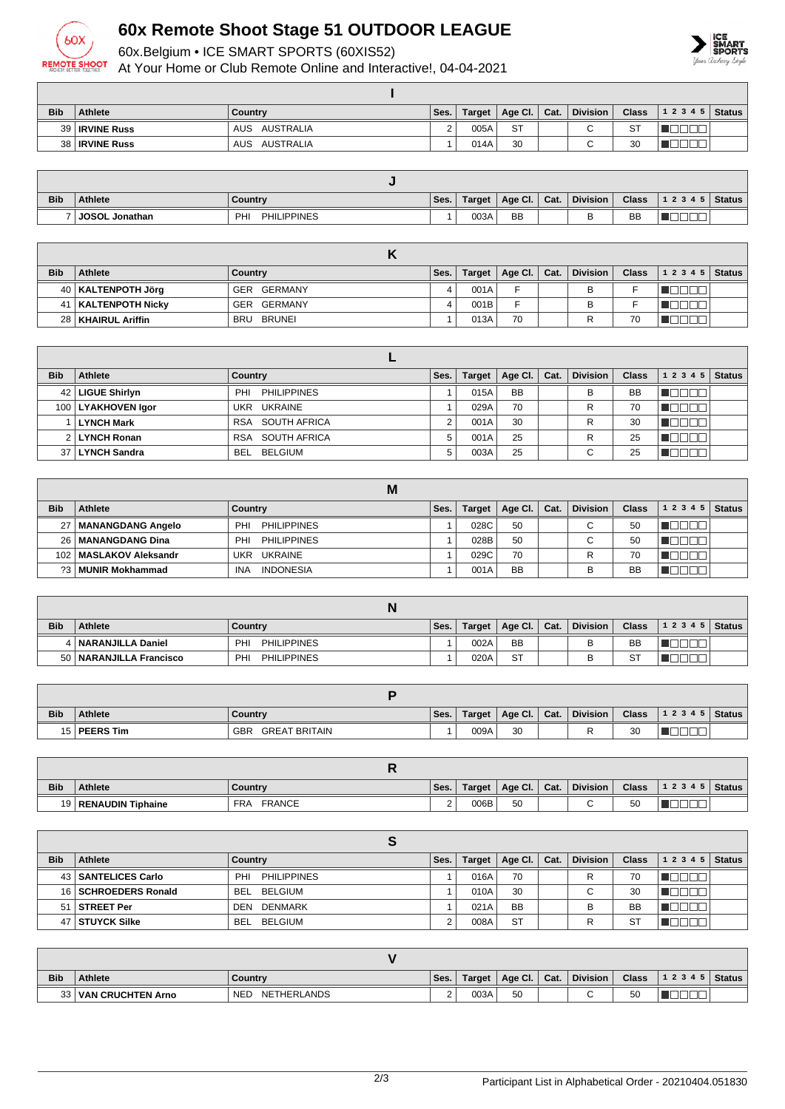

## **60x Remote Shoot Stage 51 OUTDOOR LEAGUE**

60x.Belgium • ICE SMART SPORTS (60XIS52)

At Your Home or Club Remote Online and Interactive!, 04-04-2021



| <b>Bib</b> | <b>Athlete</b>        | Country           | Ses.          | Target | Age Cl.   Cat. | <b>Division</b> | <b>Class</b> | $ 12345 $ Status |  |
|------------|-----------------------|-------------------|---------------|--------|----------------|-----------------|--------------|------------------|--|
|            | 39 <b>IRVINE Russ</b> | AUSTRALIA<br>AUS  | ⌒<br><u>_</u> | 005A   | <b>ST</b>      |                 | <b>ST</b>    |                  |  |
|            | 38   IRVINE Russ      | AUSTRALIA<br>AUS. |               | 014A   | 30             |                 | 30           |                  |  |

| <b>Bib</b> | <b>Athlete</b> | Country                   | Ses. | <b>Target</b> | Age CI.   | Cat. | <b>Division</b> | <b>Class</b> | 12345 | Status |
|------------|----------------|---------------------------|------|---------------|-----------|------|-----------------|--------------|-------|--------|
|            | JOSOL Jonathan | <b>PHILIPPINES</b><br>PHI |      | 003A          | <b>BB</b> |      |                 | <b>BB</b>    |       |        |

| <b>Bib</b> | <b>Athlete</b>        | Country              | Ses. | Target | Age Cl. $\vert$ | Cat. | <b>Division</b> | <b>Class</b> | 1 2 3 4 5 | Status |
|------------|-----------------------|----------------------|------|--------|-----------------|------|-----------------|--------------|-----------|--------|
|            | 40   KALTENPOTH Jörg  | GERMANY<br>GER       |      | 001A   |                 |      |                 |              |           |        |
|            | 41   KALTENPOTH Nicky | GERMANY<br>GER       |      | 001B   |                 |      |                 |              |           |        |
|            | 28   KHAIRUL Ariffin  | BRUNEI<br><b>BRU</b> |      | 013A   | 70              |      |                 | 70           |           |        |

| <b>Bib</b> | Athlete              | Country                   | Ses. | Target | Age Cl.   | Cat. | <b>Division</b>          | <b>Class</b> | 1 2 3 4 5 | <b>Status</b> |  |  |
|------------|----------------------|---------------------------|------|--------|-----------|------|--------------------------|--------------|-----------|---------------|--|--|
|            | 42   LIGUE Shirlyn   | <b>PHILIPPINES</b><br>PHI |      | 015A   | <b>BB</b> |      | B                        | <b>BB</b>    |           |               |  |  |
|            | 100   LYAKHOVEN Igor | UKR UKRAINE               |      | 029A   | 70        |      | R                        | 70           |           |               |  |  |
|            | <b>LYNCH Mark</b>    | RSA SOUTH AFRICA          |      | 001A   | 30        |      | R                        | 30           |           |               |  |  |
|            | 2 LYNCH Ronan        | RSA SOUTH AFRICA          |      | 001A   | 25        |      | R                        | 25           |           |               |  |  |
|            | 37 LYNCH Sandra      | BELGIUM<br><b>BEL</b>     |      | 003A   | 25        |      | $\overline{\phantom{0}}$ | 25           |           |               |  |  |

|            | M                        |                                |      |        |                    |      |                 |              |                |  |  |  |
|------------|--------------------------|--------------------------------|------|--------|--------------------|------|-----------------|--------------|----------------|--|--|--|
| <b>Bib</b> | Athlete                  | Country                        | Ses. | Target | $^{\circ}$ Age Cl. | Cat. | <b>Division</b> | <b>Class</b> | $12345$ Status |  |  |  |
|            | 27   MANANGDANG Angelo   | <b>PHILIPPINES</b><br>PHI      |      | 028C   | 50                 |      | ⌒               | 50           |                |  |  |  |
|            | 26   MANANGDANG Dina     | <b>PHILIPPINES</b><br>PHI      |      | 028B   | 50                 |      | ⌒<br>U          | 50           |                |  |  |  |
|            | 102   MASLAKOV Aleksandr | UKR UKRAINE                    |      | 029C   | 70                 |      |                 | 70           |                |  |  |  |
| 23 L       | MUNIR Mokhammad          | <b>INDONESIA</b><br><b>INA</b> |      | 001A   | <b>BB</b>          |      |                 | BB           |                |  |  |  |

| <b>Bib</b> | <b>Athlete</b>            | Country                   | Ses. | Target | Age Cl.   Cat. |  | <b>Division</b> | <b>Class</b> | 12345 | <b>Status</b> |  |
|------------|---------------------------|---------------------------|------|--------|----------------|--|-----------------|--------------|-------|---------------|--|
|            | 4   NARANJILLA Daniel     | PHILIPPINES<br>PHI        |      | 002A   | <b>BB</b>      |  | в               | <b>BB</b>    |       |               |  |
|            | 50   NARANJILLA Francisco | <b>PHILIPPINES</b><br>PHI |      | 020A   | <b>ST</b>      |  |                 | <b>ST</b>    |       |               |  |

| <b>Bib</b> | <b>Athlete</b> | Country                     | Ses. | Target | Age Cl. | Cat. | <b>Division</b> | <b>Class</b> | 1 2 3 4 5   Status |  |  |
|------------|----------------|-----------------------------|------|--------|---------|------|-----------------|--------------|--------------------|--|--|
|            | 15   PEERS Tim | GBR<br><b>GREAT BRITAIN</b> |      | 009A   | 30      |      |                 | 30           |                    |  |  |

| <b>Bib</b> | Athlete                | Country                     | Ses.     | Target | Age Cl. | Cat. | Division | <b>Class</b> | 12345    | Status |
|------------|------------------------|-----------------------------|----------|--------|---------|------|----------|--------------|----------|--------|
|            | 19   RENAUDIN Tiphaine | <b>FRANCE</b><br><b>FRA</b> | <u>_</u> | 006B   | 50      |      |          | 50           | _<br>___ |        |

| <b>Bib</b> | <b>Athlete</b>        | Country            | Ses. | <b>Target</b> | $^{\circ}$ Age Cl. | $\vert$ Cat. | <b>Division</b> | Class | 1 2 3 4 5 | <b>Status</b> |  |  |  |
|------------|-----------------------|--------------------|------|---------------|--------------------|--------------|-----------------|-------|-----------|---------------|--|--|--|
|            | 43   SANTELICES Carlo | PHILIPPINES<br>PHI |      | 016A          | 70                 |              |                 | 70    |           |               |  |  |  |
|            | 16 SCHROEDERS Ronald  | BEL BELGIUM        |      | 010A          | 30                 |              | $\sim$<br>U     | 30    |           |               |  |  |  |
|            | 51   STREET Per       | DEN DENMARK        |      | 021A          | <b>BB</b>          |              |                 | BB    |           |               |  |  |  |
|            | 47   STUYCK Silke     | BELGIUM<br>BEL     |      | 008A          | <b>ST</b>          |              |                 | -S7   |           |               |  |  |  |

| <b>Bib</b> | <b>Athlete</b>           | Country                          | Ses. | <b>Target</b> | Age Cl.   Cat. | <b>Division</b> | <b>Class</b> | 12345 | Status, |
|------------|--------------------------|----------------------------------|------|---------------|----------------|-----------------|--------------|-------|---------|
| 33         | <b>VAN CRUCHTEN Arno</b> | <b>NETHERLANDS</b><br><b>NED</b> |      | 003A          | 50             |                 | 50           |       |         |